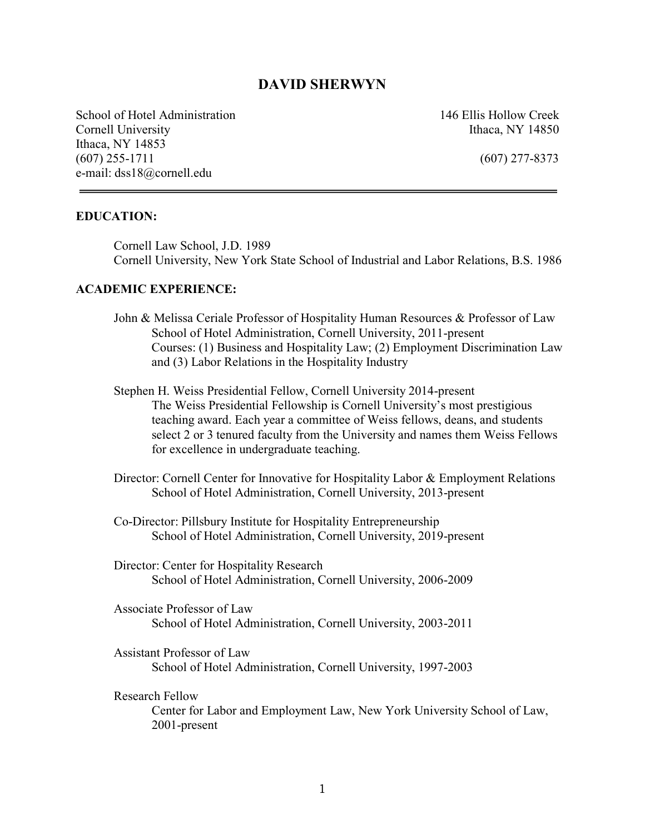# **DAVID SHERWYN**

School of Hotel Administration 146 Ellis Hollow Creek Cornell University **Ithaca**, NY 14850 Ithaca, NY 14853 (607) 255-1711 (607) 277-8373 e-mail: [dss18@cornell.edu](mailto:dss18@cornell.edu)

#### **EDUCATION:**

Cornell Law School, J.D. 1989 Cornell University, New York State School of Industrial and Labor Relations, B.S. 1986

#### **ACADEMIC EXPERIENCE:**

- John & Melissa Ceriale Professor of Hospitality Human Resources & Professor of Law School of Hotel Administration, Cornell University, 2011-present Courses: (1) Business and Hospitality Law; (2) Employment Discrimination Law and (3) Labor Relations in the Hospitality Industry
- Stephen H. Weiss Presidential Fellow, Cornell University 2014-present The Weiss Presidential Fellowship is Cornell University's most prestigious teaching award. Each year a committee of Weiss fellows, deans, and students select 2 or 3 tenured faculty from the University and names them Weiss Fellows for excellence in undergraduate teaching.
- Director: Cornell Center for Innovative for Hospitality Labor & Employment Relations School of Hotel Administration, Cornell University, 2013-present
- Co-Director: Pillsbury Institute for Hospitality Entrepreneurship School of Hotel Administration, Cornell University, 2019-present
- Director: Center for Hospitality Research School of Hotel Administration, Cornell University, 2006-2009
- Associate Professor of Law School of Hotel Administration, Cornell University, 2003-2011
- Assistant Professor of Law School of Hotel Administration, Cornell University, 1997-2003

Research Fellow

Center for Labor and Employment Law, New York University School of Law, 2001-present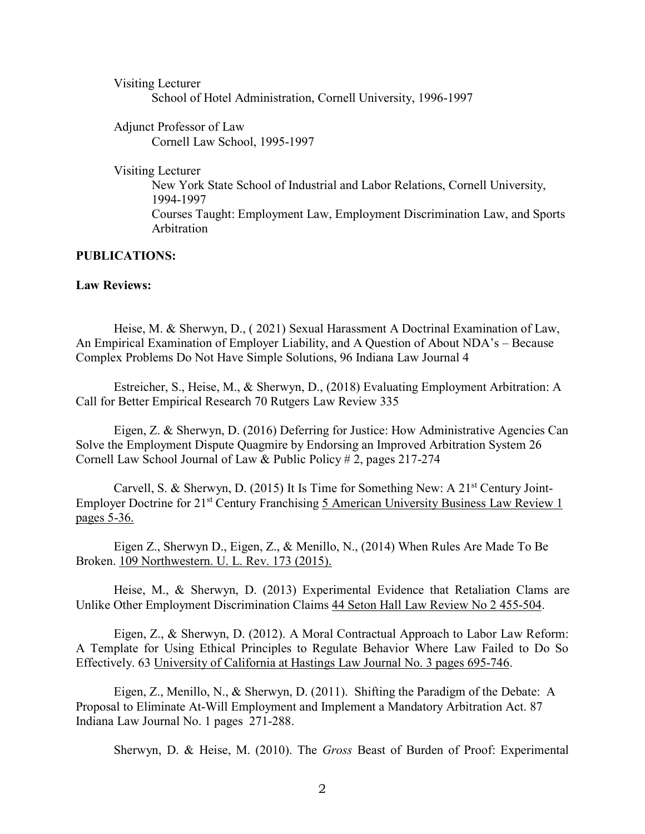Visiting Lecturer School of Hotel Administration, Cornell University, 1996-1997

Adjunct Professor of Law Cornell Law School, 1995-1997

Visiting Lecturer

New York State School of Industrial and Labor Relations, Cornell University, 1994-1997 Courses Taught: Employment Law, Employment Discrimination Law, and Sports Arbitration

#### **PUBLICATIONS:**

# **Law Reviews:**

Heise, M. & Sherwyn, D., ( 2021) Sexual Harassment A Doctrinal Examination of Law, An Empirical Examination of Employer Liability, and A Question of About NDA's – Because Complex Problems Do Not Have Simple Solutions, 96 Indiana Law Journal 4

Estreicher, S., Heise, M., & Sherwyn, D., (2018) Evaluating Employment Arbitration: A Call for Better Empirical Research 70 Rutgers Law Review 335

Eigen, Z. & Sherwyn, D. (2016) Deferring for Justice: How Administrative Agencies Can Solve the Employment Dispute Quagmire by Endorsing an Improved Arbitration System 26 Cornell Law School Journal of Law & Public Policy # 2, pages 217-274

Carvell, S. & Sherwyn, D. (2015) It Is Time for Something New: A  $21<sup>st</sup>$  Century Joint-Employer Doctrine for 21<sup>st</sup> Century Franchising 5 American University Business Law Review 1 pages 5-36.

Eigen Z., Sherwyn D., Eigen, Z., & Menillo, N., (2014) When Rules Are Made To Be Broken. 109 Northwestern. U. L. Rev. 173 (2015).

Heise, M., & Sherwyn, D. (2013) Experimental Evidence that Retaliation Clams are Unlike Other Employment Discrimination Claims 44 Seton Hall Law Review No 2 455-504.

Eigen, Z., & Sherwyn, D. (2012). A Moral Contractual Approach to Labor Law Reform: A Template for Using Ethical Principles to Regulate Behavior Where Law Failed to Do So Effectively. 63 University of California at Hastings Law Journal No. 3 pages 695-746.

Eigen, Z., Menillo, N., & Sherwyn, D. (2011). Shifting the Paradigm of the Debate: A Proposal to Eliminate At-Will Employment and Implement a Mandatory Arbitration Act. 87 Indiana Law Journal No. 1 pages 271-288.

Sherwyn, D. & Heise, M. (2010). The *Gross* Beast of Burden of Proof: Experimental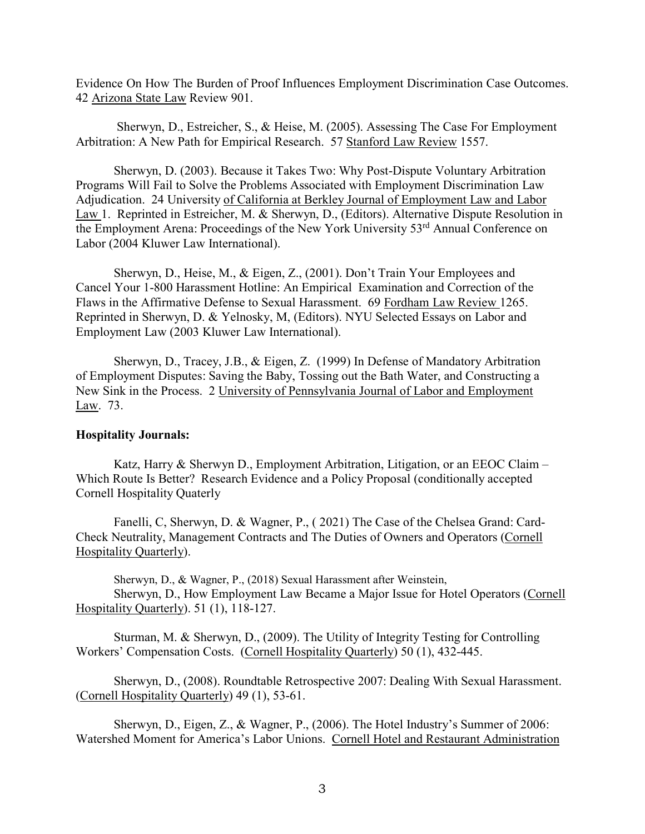Evidence On How The Burden of Proof Influences Employment Discrimination Case Outcomes. 42 Arizona State Law Review 901.

Sherwyn, D., Estreicher, S., & Heise, M. (2005). Assessing The Case For Employment Arbitration: A New Path for Empirical Research. 57 Stanford Law Review 1557.

Sherwyn, D. (2003). Because it Takes Two: Why Post-Dispute Voluntary Arbitration Programs Will Fail to Solve the Problems Associated with Employment Discrimination Law Adjudication. 24 University of California at Berkley Journal of Employment Law and Labor Law 1. Reprinted in Estreicher, M. & Sherwyn, D., (Editors). Alternative Dispute Resolution in the Employment Arena: Proceedings of the New York University 53rd Annual Conference on Labor (2004 Kluwer Law International).

Sherwyn, D., Heise, M., & Eigen, Z., (2001). Don't Train Your Employees and Cancel Your 1-800 Harassment Hotline: An Empirical Examination and Correction of the Flaws in the Affirmative Defense to Sexual Harassment. 69 Fordham Law Review 1265. Reprinted in Sherwyn, D. & Yelnosky, M, (Editors). NYU Selected Essays on Labor and Employment Law (2003 Kluwer Law International).

Sherwyn, D., Tracey, J.B., & Eigen, Z. (1999) In Defense of Mandatory Arbitration of Employment Disputes: Saving the Baby, Tossing out the Bath Water, and Constructing a New Sink in the Process. 2 University of Pennsylvania Journal of Labor and Employment Law. 73.

#### **Hospitality Journals:**

Katz, Harry & Sherwyn D., Employment Arbitration, Litigation, or an EEOC Claim – Which Route Is Better? Research Evidence and a Policy Proposal (conditionally accepted Cornell Hospitality Quaterly

Fanelli, C, Sherwyn, D. & Wagner, P., ( 2021) The Case of the Chelsea Grand: Card-Check Neutrality, Management Contracts and The Duties of Owners and Operators (Cornell Hospitality Quarterly).

Sherwyn, D., & Wagner, P., (2018) Sexual Harassment after Weinstein,

Sherwyn, D., How Employment Law Became a Major Issue for Hotel Operators (Cornell Hospitality Quarterly). 51 (1), 118-127.

Sturman, M. & Sherwyn, D., (2009). The Utility of Integrity Testing for Controlling Workers' Compensation Costs. (Cornell Hospitality Quarterly) 50 (1), 432-445.

Sherwyn, D., (2008). Roundtable Retrospective 2007: Dealing With Sexual Harassment. (Cornell Hospitality Quarterly) 49 (1), 53-61.

Sherwyn, D., Eigen, Z., & Wagner, P., (2006). The Hotel Industry's Summer of 2006: Watershed Moment for America's Labor Unions. Cornell Hotel and Restaurant Administration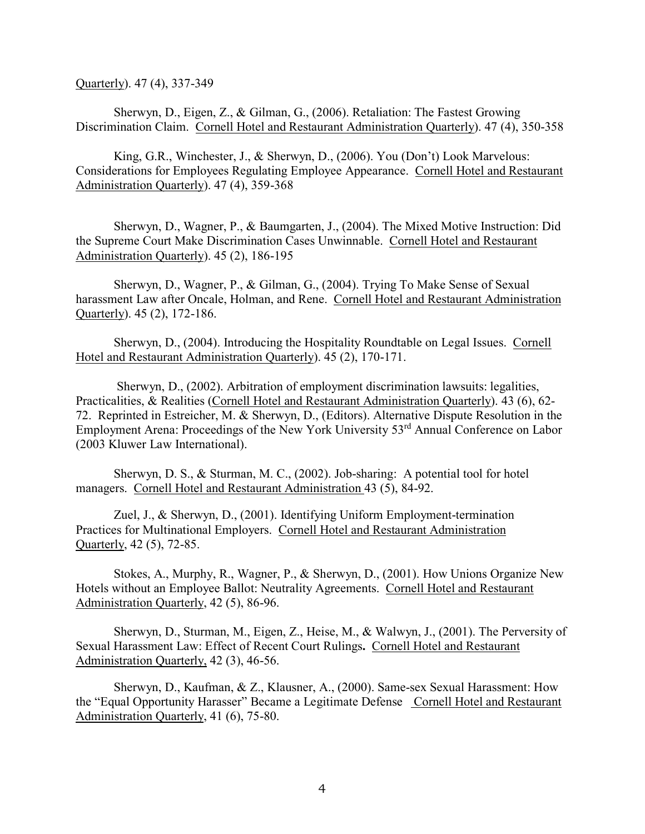Quarterly). 47 (4), 337-349

Sherwyn, D., Eigen, Z., & Gilman, G., (2006). Retaliation: The Fastest Growing Discrimination Claim. Cornell Hotel and Restaurant Administration Quarterly). 47 (4), 350-358

King, G.R., Winchester, J., & Sherwyn, D., (2006). You (Don't) Look Marvelous: Considerations for Employees Regulating Employee Appearance. Cornell Hotel and Restaurant Administration Quarterly). 47 (4), 359-368

Sherwyn, D., Wagner, P., & Baumgarten, J., (2004). The Mixed Motive Instruction: Did the Supreme Court Make Discrimination Cases Unwinnable. Cornell Hotel and Restaurant Administration Quarterly). 45 (2), 186-195

Sherwyn, D., Wagner, P., & Gilman, G., (2004). Trying To Make Sense of Sexual harassment Law after Oncale, Holman, and Rene. Cornell Hotel and Restaurant Administration Quarterly). 45 (2), 172-186.

Sherwyn, D., (2004). Introducing the Hospitality Roundtable on Legal Issues. Cornell Hotel and Restaurant Administration Quarterly). 45 (2), 170-171.

Sherwyn, D., (2002). Arbitration of employment discrimination lawsuits: legalities, Practicalities, & Realities (Cornell Hotel and Restaurant Administration Quarterly). 43 (6), 62- 72. Reprinted in Estreicher, M. & Sherwyn, D., (Editors). Alternative Dispute Resolution in the Employment Arena: Proceedings of the New York University 53<sup>rd</sup> Annual Conference on Labor (2003 Kluwer Law International).

Sherwyn, D. S., & Sturman, M. C., (2002). Job-sharing: A potential tool for hotel managers. Cornell Hotel and Restaurant Administration 43 (5), 84-92.

Zuel, J., & Sherwyn, D., (2001). Identifying Uniform Employment-termination Practices for Multinational Employers. Cornell Hotel and Restaurant Administration Quarterly, 42 (5), 72-85.

Stokes, A., Murphy, R., Wagner, P., & Sherwyn, D., (2001). How Unions Organize New Hotels without an Employee Ballot: Neutrality Agreements. Cornell Hotel and Restaurant Administration Quarterly, 42 (5), 86-96.

Sherwyn, D., Sturman, M., Eigen, Z., Heise, M., & Walwyn, J., (2001). The Perversity of Sexual Harassment Law: Effect of Recent Court Rulings**.** Cornell Hotel and Restaurant Administration Quarterly, 42 (3), 46-56.

Sherwyn, D., Kaufman, & Z., Klausner, A., (2000). Same-sex Sexual Harassment: How the "Equal Opportunity Harasser" Became a Legitimate Defense Cornell Hotel and Restaurant Administration Quarterly, 41 (6), 75-80.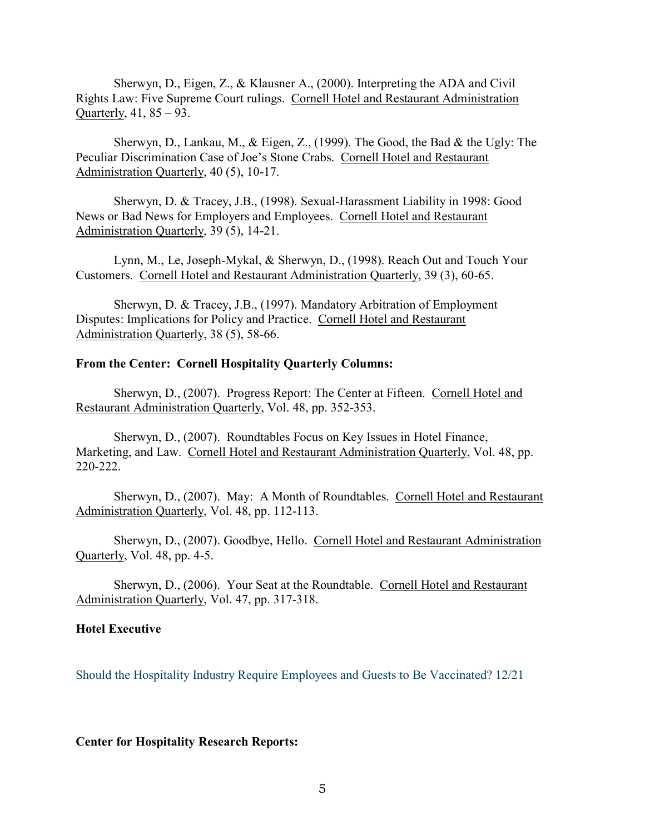Sherwyn, D., Eigen, Z., & Klausner A., (2000). Interpreting the ADA and Civil Rights Law: Five Supreme Court rulings. Cornell Hotel and Restaurant Administration Quarterly, 41, 85 – 93.

Sherwyn, D., Lankau, M., & Eigen, Z., (1999). The Good, the Bad & the Ugly: The Peculiar Discrimination Case of Joe's Stone Crabs. Cornell Hotel and Restaurant Administration Quarterly, 40 (5), 10-17.

Sherwyn, D. & Tracey, J.B., (1998). Sexual-Harassment Liability in 1998: Good News or Bad News for Employers and Employees. Cornell Hotel and Restaurant Administration Quarterly, 39 (5), 14-21.

Lynn, M., Le, Joseph-Mykal, & Sherwyn, D., (1998). Reach Out and Touch Your Customers. Cornell Hotel and Restaurant Administration Quarterly, 39 (3), 60-65.

Sherwyn, D. & Tracey, J.B., (1997). Mandatory Arbitration of Employment Disputes: Implications for Policy and Practice. Cornell Hotel and Restaurant Administration Quarterly, 38 (5), 58-66.

#### **From the Center: Cornell Hospitality Quarterly Columns:**

Sherwyn, D., (2007). Progress Report: The Center at Fifteen. Cornell Hotel and Restaurant Administration Quarterly, Vol. 48, pp. 352-353.

Sherwyn, D., (2007). Roundtables Focus on Key Issues in Hotel Finance, Marketing, and Law. Cornell Hotel and Restaurant Administration Quarterly, Vol. 48, pp. 220-222.

Sherwyn, D., (2007). May: A Month of Roundtables. Cornell Hotel and Restaurant Administration Quarterly, Vol. 48, pp. 112-113.

Sherwyn, D., (2007). Goodbye, Hello. Cornell Hotel and Restaurant Administration Quarterly, Vol. 48, pp. 4-5.

Sherwyn, D., (2006). Your Seat at the Roundtable. Cornell Hotel and Restaurant Administration Quarterly, Vol. 47, pp. 317-318.

#### **Hotel Executive**

Should the Hospitality Industry Require Employees and Guests to Be Vaccinated? 12/21

**Center for Hospitality Research Reports:**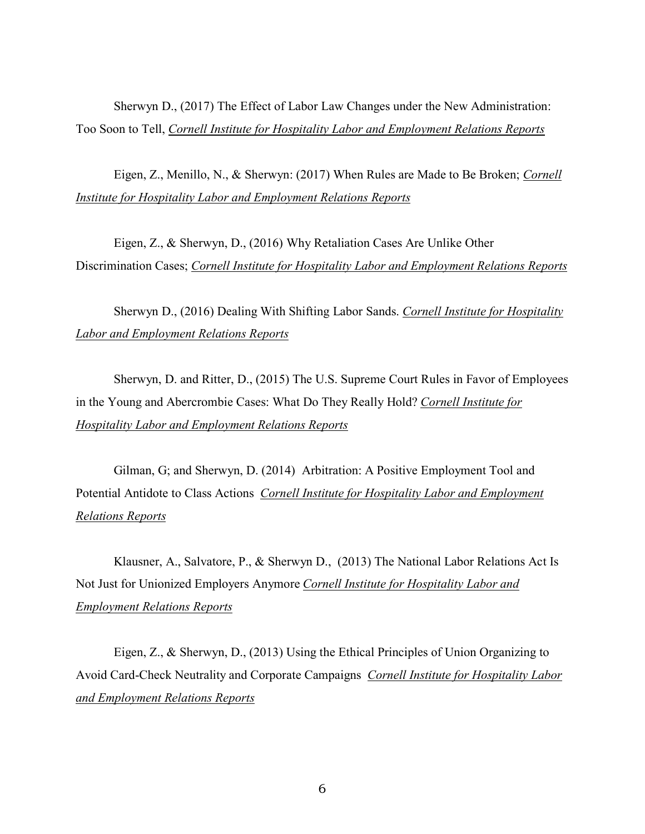[Sherwyn D., \(2017\) The Effect of Labor Law Changes under the New](http://scholarship.sha.cornell.edu/cihlerpubs/5) Administration: Too Soon to Tell, *Cornell Institute for Hospitality Labor and [Employment](http://scholarship.sha.cornell.edu/cihlerpubs) Relations Reports*

Eigen, Z., Menillo, N., & Sherwyn: (2017) When Rules are Made to Be Broken; *[Cornell](http://scholarship.sha.cornell.edu/cihlerpubs)  Institute for Hospitality Labor and Employment Relations Reports*

Eigen, Z., & Sherwyn, D., (2016) Why Retaliation Cases Are Unlike Other Discrimination Cases; *Cornell Institute for [Hospitality Labor and Employment](http://scholarship.sha.cornell.edu/cihlerpubs) Relations Reports*

Sherwyn D., (2016) Dealing With Shifting Labor Sands. *[Cornell Institute for Hospitality](http://scholarship.sha.cornell.edu/cihlerpubs) Labor and Employment Relations Reports*

Sherwyn, D. and Ritter, D., (2015) The U.S. Supreme Court Rules in Favor of Employees in the Young and Abercrombie Cases: What Do They Really Hold? *[Cornell Institute for](http://scholarship.sha.cornell.edu/cihlerpubs)  Hospitality Labor and Employment Relations Reports*

Gilman, G; and Sherwyn, D. (2014) [Arbitration: A Positive](http://scholarship.sha.cornell.edu/cihlerpubs/3) Employment Tool and Potential Antidote to Class Actions *[Cornell Institute for Hospitality Labor and Employment](http://scholarship.sha.cornell.edu/cihlerpubs) Relations Reports*

Klausner, A., Salvatore, P., & Sherwyn D., (2013) [The National Labor Relations](http://scholarship.sha.cornell.edu/cihlerpubs/2) Act Is Not Just for Unionized Employers Anymore *Cornell Institute for Hospitality Labor and [Employment Relations Reports](http://scholarship.sha.cornell.edu/cihlerpubs)*

Eigen, Z., & Sherwyn, D., (2013) Using the Ethical [Principles of Union Organizing to](http://scholarship.sha.cornell.edu/cihlerpubs/1) Avoid Card-Check Neutrality and Corporate Campaigns *[Cornell Institute for Hospitality Labor](http://scholarship.sha.cornell.edu/cihlerpubs)  and Employment Relations Reports*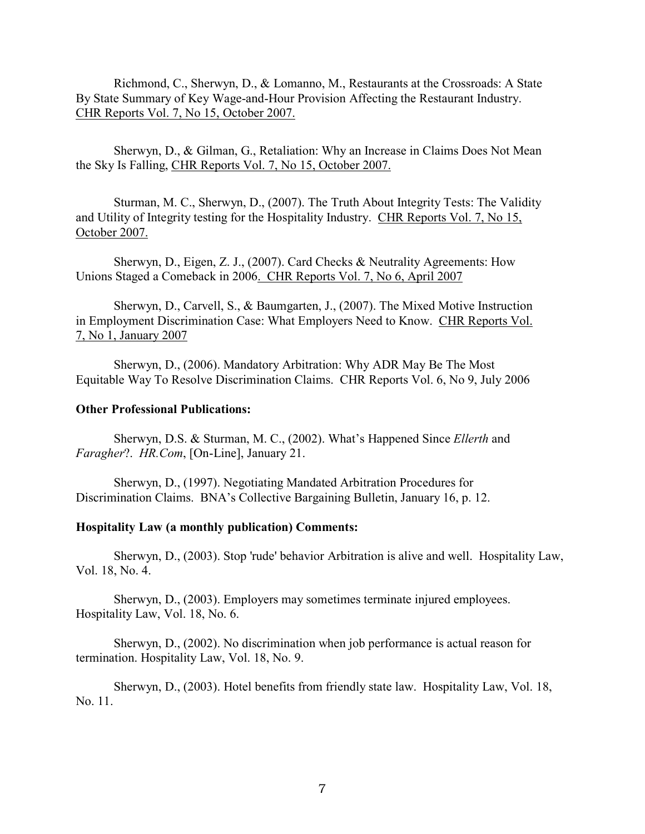Richmond, C., Sherwyn, D., & Lomanno, M., Restaurants at [the Crossroads:](http://www.hotelschool.cornell.edu/chr/pdf/showpdf/chr/roundtableproceedings/richsherwagehour.pdf) A State By State Summary of Key Wage-and-Hour Provision Affecting the Restaurant Industry. CHR Reports Vol. 7, No 15, October 2007.

Sherwyn, D., & Gilman, G., Retaliation: [Why an Increase in Claims Does Not Mean](http://www.hotelschool.cornell.edu/research/chr/pubs/reports/%20http:/www.hotelschool.cornell.edu/research/chr/pubs/roundtableproceedings/roundtable-15088.html) the Sky Is Falling, CHR Reports Vol. 7, No 15, October 2007.

Sturman, M. C., Sherwyn, D., (2007). The Truth About Integrity Tests: The Validity and Utility of Integrity testing for the Hospitality Industry. CHR Reports Vol. 7, No 15, October 2007.

Sherwyn, D., Eigen, Z. J., (2007). Card Checks & Neutrality Agreements: How Unions Staged a Comeback in 2006. CHR Reports Vol. 7, No 6, April 2007

Sherwyn, D., Carvell, S., & Baumgarten, J., (2007). The Mixed Motive Instruction in Employment Discrimination Case: What Employers Need to Know. CHR Reports Vol. 7, No 1, January 2007

Sherwyn, D., (2006). Mandatory Arbitration: Why ADR May Be The Most Equitable Way To Resolve Discrimination Claims. CHR Reports Vol. 6, No 9, July 2006

#### **Other Professional Publications:**

Sherwyn, D.S. & Sturman, M. C., (2002). What's Happened Since *Ellerth* and *Faragher*?. *HR.Com*, [On-Line], January 21.

Sherwyn, D., (1997). Negotiating Mandated Arbitration Procedures for Discrimination Claims. BNA's Collective Bargaining Bulletin, January 16, p. 12.

#### **Hospitality Law (a monthly publication) Comments:**

Sherwyn, D., (2003). Stop 'rude' behavior Arbitration is alive and well. Hospitality Law, Vol. 18, No. 4.

Sherwyn, D., (2003). Employers may sometimes terminate injured employees. Hospitality Law, Vol. 18, No. 6.

Sherwyn, D., (2002). No discrimination when job performance is actual reason for termination. Hospitality Law, Vol. 18, No. 9.

Sherwyn, D., (2003). Hotel benefits from friendly state law. Hospitality Law, Vol. 18, No. 11.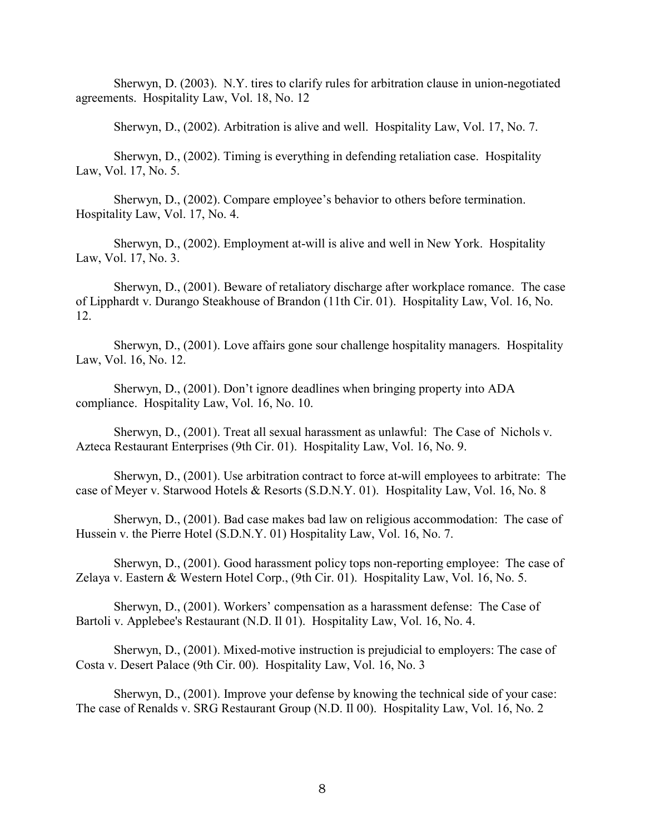Sherwyn, D. (2003). N.Y. tires to clarify rules for arbitration clause in union-negotiated agreements. Hospitality Law, Vol. 18, No. 12

Sherwyn, D., (2002). Arbitration is alive and well. Hospitality Law, Vol. 17, No. 7.

Sherwyn, D., (2002). Timing is everything in defending retaliation case. Hospitality Law, Vol. 17, No. 5.

Sherwyn, D., (2002). Compare employee's behavior to others before termination. Hospitality Law, Vol. 17, No. 4.

Sherwyn, D., (2002). Employment at-will is alive and well in New York. Hospitality Law, Vol. 17, No. 3.

Sherwyn, D., (2001). Beware of retaliatory discharge after workplace romance. The case of Lipphardt v. Durango Steakhouse of Brandon (11th Cir. 01). Hospitality Law, Vol. 16, No. 12.

Sherwyn, D., (2001). Love affairs gone sour challenge hospitality managers. Hospitality Law, Vol. 16, No. 12.

Sherwyn, D., (2001). Don't ignore deadlines when bringing property into ADA compliance. Hospitality Law, Vol. 16, No. 10.

Sherwyn, D., (2001). Treat all sexual harassment as unlawful: The Case of Nichols v. Azteca Restaurant Enterprises (9th Cir. 01). Hospitality Law, Vol. 16, No. 9.

Sherwyn, D., (2001). Use arbitration contract to force at-will employees to arbitrate: The case of Meyer v. Starwood Hotels & Resorts (S.D.N.Y. 01). Hospitality Law, Vol. 16, No. 8

Sherwyn, D., (2001). Bad case makes bad law on religious accommodation: The case of Hussein v. the Pierre Hotel (S.D.N.Y. 01) Hospitality Law, Vol. 16, No. 7.

Sherwyn, D., (2001). Good harassment policy tops non-reporting employee: The case of Zelaya v. Eastern & Western Hotel Corp., (9th Cir. 01). Hospitality Law, Vol. 16, No. 5.

Sherwyn, D., (2001). Workers' compensation as a harassment defense: The Case of Bartoli v. Applebee's Restaurant (N.D. Il 01). Hospitality Law, Vol. 16, No. 4.

Sherwyn, D., (2001). Mixed-motive instruction is prejudicial to employers: The case of Costa v. Desert Palace (9th Cir. 00). Hospitality Law, Vol. 16, No. 3

Sherwyn, D., (2001). Improve your defense by knowing the technical side of your case: The case of Renalds v. SRG Restaurant Group (N.D. Il 00). Hospitality Law, Vol. 16, No. 2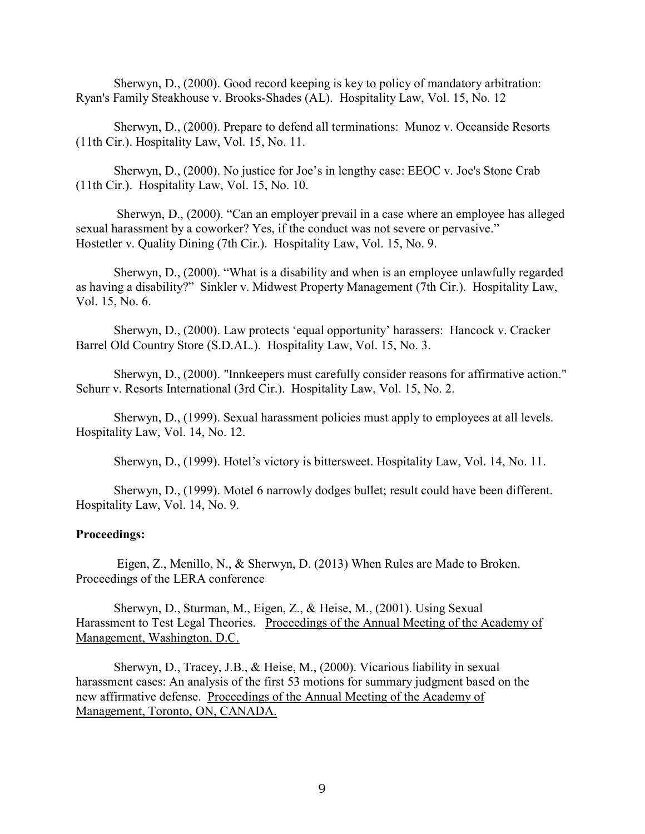Sherwyn, D., (2000). Good record keeping is key to policy of mandatory arbitration: Ryan's Family Steakhouse v. Brooks-Shades (AL). Hospitality Law, Vol. 15, No. 12

Sherwyn, D., (2000). Prepare to defend all terminations: Munoz v. Oceanside Resorts (11th Cir.). Hospitality Law, Vol. 15, No. 11.

Sherwyn, D., (2000). No justice for Joe's in lengthy case: EEOC v. Joe's Stone Crab (11th Cir.). Hospitality Law, Vol. 15, No. 10.

Sherwyn, D., (2000). "Can an employer prevail in a case where an employee has alleged sexual harassment by a coworker? Yes, if the conduct was not severe or pervasive." Hostetler v. Quality Dining (7th Cir.). Hospitality Law, Vol. 15, No. 9.

Sherwyn, D., (2000). "What is a disability and when is an employee unlawfully regarded as having a disability?" Sinkler v. Midwest Property Management (7th Cir.). Hospitality Law, Vol. 15, No. 6.

Sherwyn, D., (2000). Law protects 'equal opportunity' harassers: Hancock v. Cracker Barrel Old Country Store (S.D.AL.). Hospitality Law, Vol. 15, No. 3.

Sherwyn, D., (2000). "Innkeepers must carefully consider reasons for affirmative action." Schurr v. Resorts International (3rd Cir.). Hospitality Law, Vol. 15, No. 2.

Sherwyn, D., (1999). Sexual harassment policies must apply to employees at all levels. Hospitality Law, Vol. 14, No. 12.

Sherwyn, D., (1999). Hotel's victory is bittersweet. Hospitality Law, Vol. 14, No. 11.

Sherwyn, D., (1999). Motel 6 narrowly dodges bullet; result could have been different. Hospitality Law, Vol. 14, No. 9.

#### **Proceedings:**

Eigen, Z., Menillo, N., & Sherwyn, D. (2013) When Rules are Made to Broken. Proceedings of the LERA conference

Sherwyn, D., Sturman, M., Eigen, Z., & Heise, M., (2001). Using Sexual Harassment to Test Legal Theories. Proceedings of the Annual Meeting of the Academy of Management, Washington, D.C.

Sherwyn, D., Tracey, J.B., & Heise, M., (2000). Vicarious liability in sexual harassment cases: An analysis of the first 53 motions for summary judgment based on the new affirmative defense. Proceedings of the Annual Meeting of the Academy of Management, Toronto, ON, CANADA.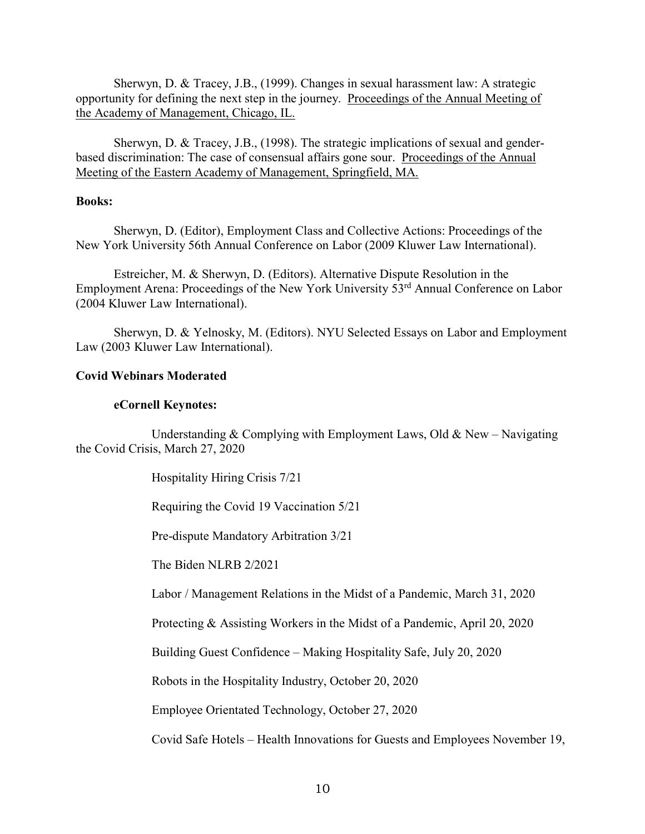Sherwyn, D. & Tracey, J.B., (1999). Changes in sexual harassment law: A strategic opportunity for defining the next step in the journey. Proceedings of the Annual Meeting of the Academy of Management, Chicago, IL.

Sherwyn, D. & Tracey, J.B., (1998). The strategic implications of sexual and genderbased discrimination: The case of consensual affairs gone sour. Proceedings of the Annual Meeting of the Eastern Academy of Management, Springfield, MA.

#### **Books:**

Sherwyn, D. (Editor), Employment Class and Collective Actions: Proceedings of the New York University 56th Annual Conference on Labor (2009 Kluwer Law International).

Estreicher, M. & Sherwyn, D. (Editors). Alternative Dispute Resolution in the Employment Arena: Proceedings of the New York University 53<sup>rd</sup> Annual Conference on Labor (2004 Kluwer Law International).

Sherwyn, D. & Yelnosky, M. (Editors). NYU Selected Essays on Labor and Employment Law (2003 Kluwer Law International).

# **Covid Webinars Moderated**

# **eCornell Keynotes:**

Understanding  $&$  Complying with Employment Laws, Old  $&$  New – Navigating the Covid Crisis, March 27, 2020

Hospitality Hiring Crisis 7/21

Requiring the Covid 19 Vaccination 5/21

Pre-dispute Mandatory Arbitration 3/21

The Biden NLRB 2/2021

Labor / Management Relations in the Midst of a Pandemic, March 31, 2020

Protecting & Assisting Workers in the Midst of a Pandemic, April 20, 2020

Building Guest Confidence – Making Hospitality Safe, July 20, 2020

Robots in the Hospitality Industry, October 20, 2020

Employee Orientated Technology, October 27, 2020

Covid Safe Hotels – Health Innovations for Guests and Employees November 19,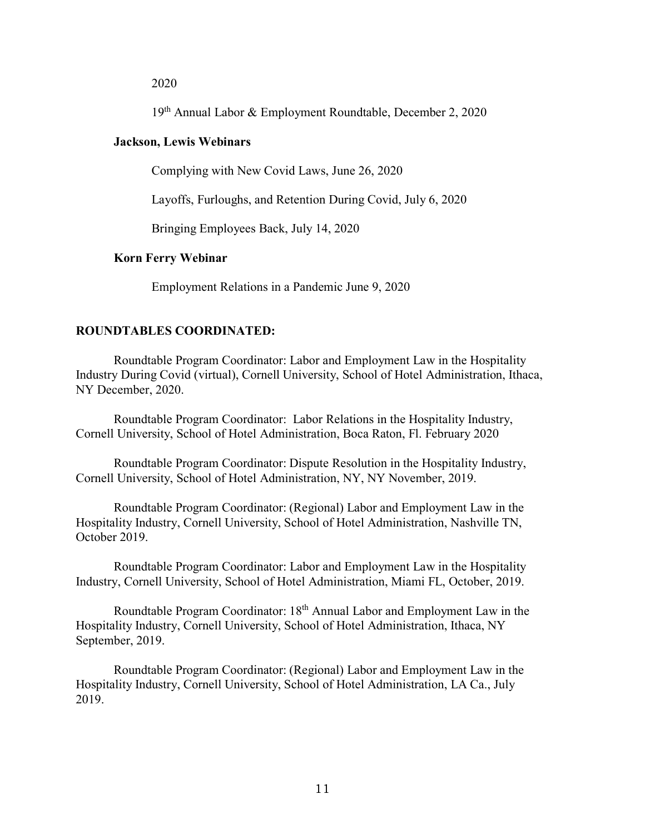#### 2020

19th Annual Labor & Employment Roundtable, December 2, 2020

#### **Jackson, Lewis Webinars**

Complying with New Covid Laws, June 26, 2020

Layoffs, Furloughs, and Retention During Covid, July 6, 2020

Bringing Employees Back, July 14, 2020

#### **Korn Ferry Webinar**

Employment Relations in a Pandemic June 9, 2020

## **ROUNDTABLES COORDINATED:**

Roundtable Program Coordinator: Labor and Employment Law in the Hospitality Industry During Covid (virtual), Cornell University, School of Hotel Administration, Ithaca, NY December, 2020.

Roundtable Program Coordinator: Labor Relations in the Hospitality Industry, Cornell University, School of Hotel Administration, Boca Raton, Fl. February 2020

Roundtable Program Coordinator: Dispute Resolution in the Hospitality Industry, Cornell University, School of Hotel Administration, NY, NY November, 2019.

Roundtable Program Coordinator: (Regional) Labor and Employment Law in the Hospitality Industry, Cornell University, School of Hotel Administration, Nashville TN, October 2019.

Roundtable Program Coordinator: Labor and Employment Law in the Hospitality Industry, Cornell University, School of Hotel Administration, Miami FL, October, 2019.

Roundtable Program Coordinator: 18th Annual Labor and Employment Law in the Hospitality Industry, Cornell University, School of Hotel Administration, Ithaca, NY September, 2019.

Roundtable Program Coordinator: (Regional) Labor and Employment Law in the Hospitality Industry, Cornell University, School of Hotel Administration, LA Ca., July 2019.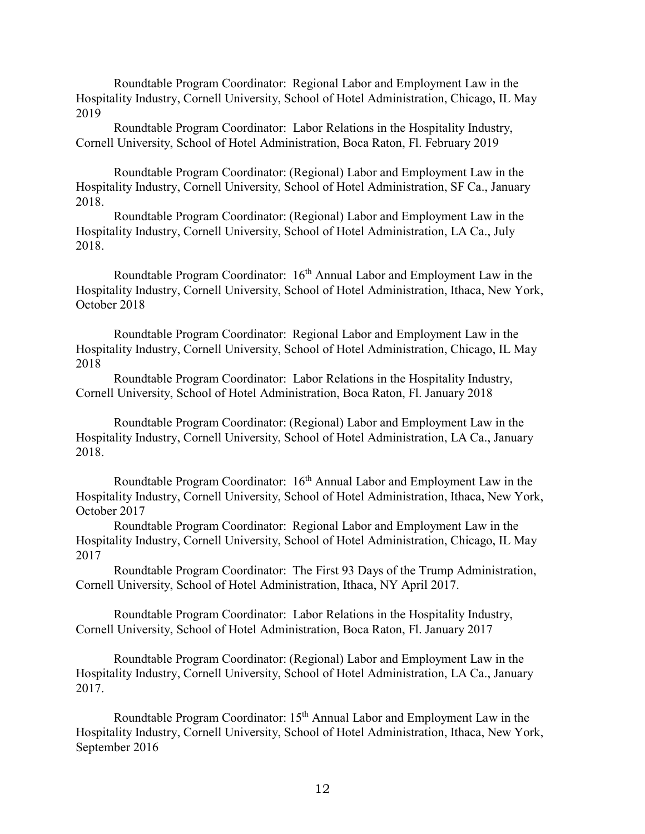Roundtable Program Coordinator: Regional Labor and Employment Law in the Hospitality Industry, Cornell University, School of Hotel Administration, Chicago, IL May 2019

Roundtable Program Coordinator: Labor Relations in the Hospitality Industry, Cornell University, School of Hotel Administration, Boca Raton, Fl. February 2019

Roundtable Program Coordinator: (Regional) Labor and Employment Law in the Hospitality Industry, Cornell University, School of Hotel Administration, SF Ca., January 2018.

Roundtable Program Coordinator: (Regional) Labor and Employment Law in the Hospitality Industry, Cornell University, School of Hotel Administration, LA Ca., July 2018.

Roundtable Program Coordinator:  $16<sup>th</sup>$  Annual Labor and Employment Law in the Hospitality Industry, Cornell University, School of Hotel Administration, Ithaca, New York, October 2018

Roundtable Program Coordinator: Regional Labor and Employment Law in the Hospitality Industry, Cornell University, School of Hotel Administration, Chicago, IL May 2018

Roundtable Program Coordinator: Labor Relations in the Hospitality Industry, Cornell University, School of Hotel Administration, Boca Raton, Fl. January 2018

Roundtable Program Coordinator: (Regional) Labor and Employment Law in the Hospitality Industry, Cornell University, School of Hotel Administration, LA Ca., January 2018.

Roundtable Program Coordinator:  $16<sup>th</sup>$  Annual Labor and Employment Law in the Hospitality Industry, Cornell University, School of Hotel Administration, Ithaca, New York, October 2017

Roundtable Program Coordinator: Regional Labor and Employment Law in the Hospitality Industry, Cornell University, School of Hotel Administration, Chicago, IL May 2017

Roundtable Program Coordinator: The First 93 Days of the Trump Administration, Cornell University, School of Hotel Administration, Ithaca, NY April 2017.

Roundtable Program Coordinator: Labor Relations in the Hospitality Industry, Cornell University, School of Hotel Administration, Boca Raton, Fl. January 2017

Roundtable Program Coordinator: (Regional) Labor and Employment Law in the Hospitality Industry, Cornell University, School of Hotel Administration, LA Ca., January 2017.

Roundtable Program Coordinator: 15<sup>th</sup> Annual Labor and Employment Law in the Hospitality Industry, Cornell University, School of Hotel Administration, Ithaca, New York, September 2016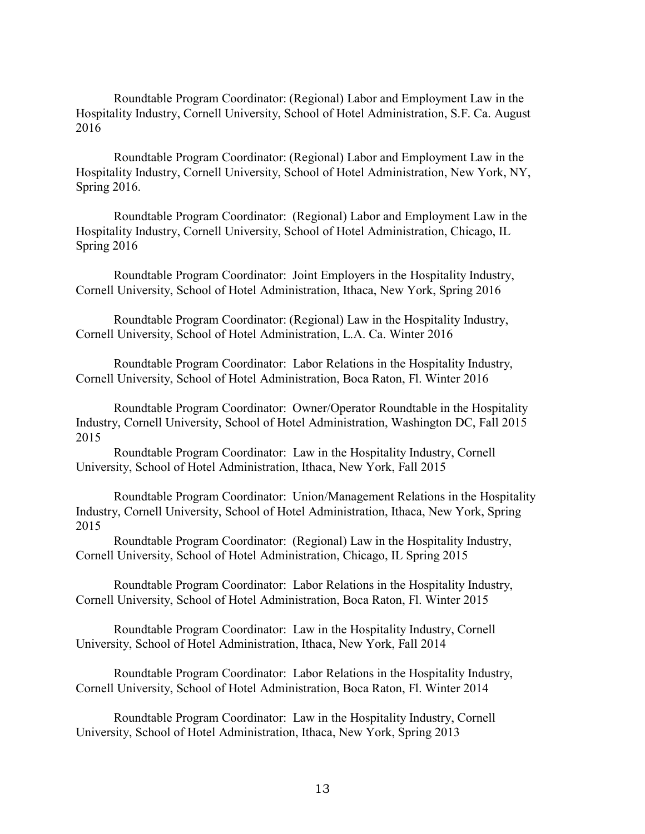Roundtable Program Coordinator: (Regional) Labor and Employment Law in the Hospitality Industry, Cornell University, School of Hotel Administration, S.F. Ca. August 2016

Roundtable Program Coordinator: (Regional) Labor and Employment Law in the Hospitality Industry, Cornell University, School of Hotel Administration, New York, NY, Spring 2016.

Roundtable Program Coordinator: (Regional) Labor and Employment Law in the Hospitality Industry, Cornell University, School of Hotel Administration, Chicago, IL Spring 2016

Roundtable Program Coordinator: Joint Employers in the Hospitality Industry, Cornell University, School of Hotel Administration, Ithaca, New York, Spring 2016

Roundtable Program Coordinator: (Regional) Law in the Hospitality Industry, Cornell University, School of Hotel Administration, L.A. Ca. Winter 2016

Roundtable Program Coordinator: Labor Relations in the Hospitality Industry, Cornell University, School of Hotel Administration, Boca Raton, Fl. Winter 2016

Roundtable Program Coordinator: Owner/Operator Roundtable in the Hospitality Industry, Cornell University, School of Hotel Administration, Washington DC, Fall 2015 2015

Roundtable Program Coordinator: Law in the Hospitality Industry, Cornell University, School of Hotel Administration, Ithaca, New York, Fall 2015

Roundtable Program Coordinator: Union/Management Relations in the Hospitality Industry, Cornell University, School of Hotel Administration, Ithaca, New York, Spring 2015

Roundtable Program Coordinator: (Regional) Law in the Hospitality Industry, Cornell University, School of Hotel Administration, Chicago, IL Spring 2015

Roundtable Program Coordinator: Labor Relations in the Hospitality Industry, Cornell University, School of Hotel Administration, Boca Raton, Fl. Winter 2015

Roundtable Program Coordinator: Law in the Hospitality Industry, Cornell University, School of Hotel Administration, Ithaca, New York, Fall 2014

Roundtable Program Coordinator: Labor Relations in the Hospitality Industry, Cornell University, School of Hotel Administration, Boca Raton, Fl. Winter 2014

Roundtable Program Coordinator: Law in the Hospitality Industry, Cornell University, School of Hotel Administration, Ithaca, New York, Spring 2013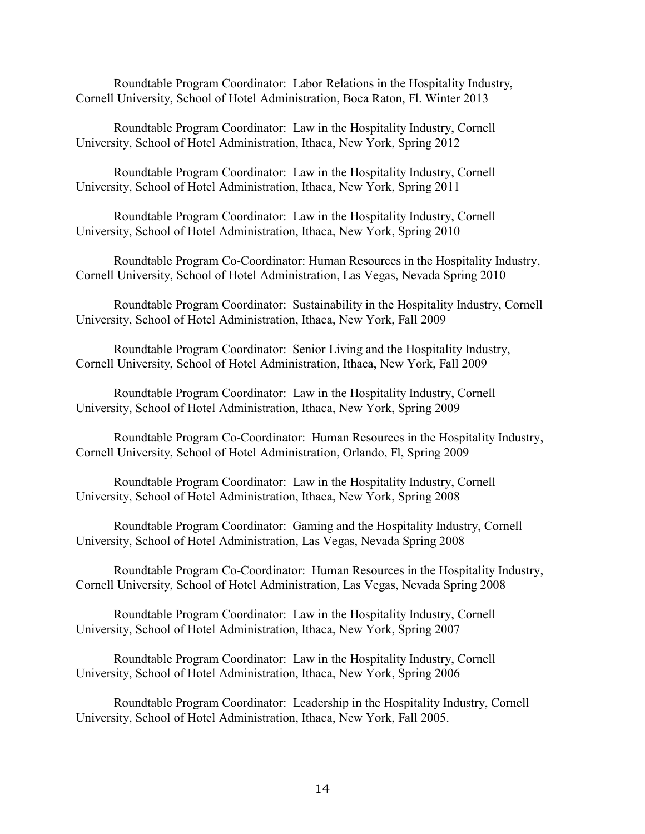Roundtable Program Coordinator: Labor Relations in the Hospitality Industry, Cornell University, School of Hotel Administration, Boca Raton, Fl. Winter 2013

Roundtable Program Coordinator: Law in the Hospitality Industry, Cornell University, School of Hotel Administration, Ithaca, New York, Spring 2012

Roundtable Program Coordinator: Law in the Hospitality Industry, Cornell University, School of Hotel Administration, Ithaca, New York, Spring 2011

Roundtable Program Coordinator: Law in the Hospitality Industry, Cornell University, School of Hotel Administration, Ithaca, New York, Spring 2010

Roundtable Program Co-Coordinator: Human Resources in the Hospitality Industry, Cornell University, School of Hotel Administration, Las Vegas, Nevada Spring 2010

Roundtable Program Coordinator: Sustainability in the Hospitality Industry, Cornell University, School of Hotel Administration, Ithaca, New York, Fall 2009

Roundtable Program Coordinator: Senior Living and the Hospitality Industry, Cornell University, School of Hotel Administration, Ithaca, New York, Fall 2009

Roundtable Program Coordinator: Law in the Hospitality Industry, Cornell University, School of Hotel Administration, Ithaca, New York, Spring 2009

Roundtable Program Co-Coordinator: Human Resources in the Hospitality Industry, Cornell University, School of Hotel Administration, Orlando, Fl, Spring 2009

Roundtable Program Coordinator: Law in the Hospitality Industry, Cornell University, School of Hotel Administration, Ithaca, New York, Spring 2008

Roundtable Program Coordinator: Gaming and the Hospitality Industry, Cornell University, School of Hotel Administration, Las Vegas, Nevada Spring 2008

Roundtable Program Co-Coordinator: Human Resources in the Hospitality Industry, Cornell University, School of Hotel Administration, Las Vegas, Nevada Spring 2008

Roundtable Program Coordinator: Law in the Hospitality Industry, Cornell University, School of Hotel Administration, Ithaca, New York, Spring 2007

Roundtable Program Coordinator: Law in the Hospitality Industry, Cornell University, School of Hotel Administration, Ithaca, New York, Spring 2006

Roundtable Program Coordinator: Leadership in the Hospitality Industry, Cornell University, School of Hotel Administration, Ithaca, New York, Fall 2005.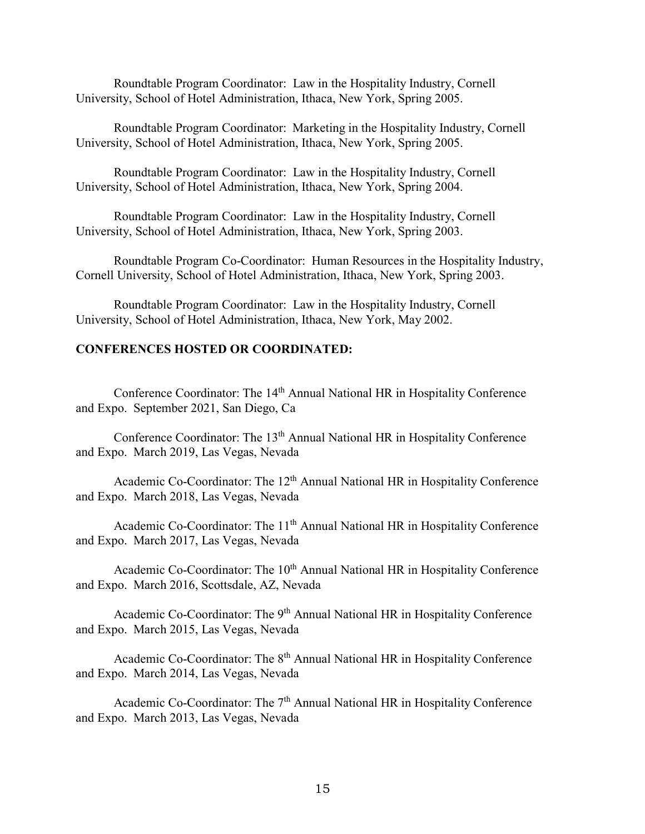Roundtable Program Coordinator: Law in the Hospitality Industry, Cornell University, School of Hotel Administration, Ithaca, New York, Spring 2005.

Roundtable Program Coordinator: Marketing in the Hospitality Industry, Cornell University, School of Hotel Administration, Ithaca, New York, Spring 2005.

Roundtable Program Coordinator: Law in the Hospitality Industry, Cornell University, School of Hotel Administration, Ithaca, New York, Spring 2004.

Roundtable Program Coordinator: Law in the Hospitality Industry, Cornell University, School of Hotel Administration, Ithaca, New York, Spring 2003.

Roundtable Program Co-Coordinator: Human Resources in the Hospitality Industry, Cornell University, School of Hotel Administration, Ithaca, New York, Spring 2003.

Roundtable Program Coordinator: Law in the Hospitality Industry, Cornell University, School of Hotel Administration, Ithaca, New York, May 2002.

## **CONFERENCES HOSTED OR COORDINATED:**

Conference Coordinator: The 14<sup>th</sup> Annual National HR in Hospitality Conference and Expo. September 2021, San Diego, Ca

Conference Coordinator: The 13<sup>th</sup> Annual National HR in Hospitality Conference and Expo. March 2019, Las Vegas, Nevada

Academic Co-Coordinator: The 12<sup>th</sup> Annual National HR in Hospitality Conference and Expo. March 2018, Las Vegas, Nevada

Academic Co-Coordinator: The 11<sup>th</sup> Annual National HR in Hospitality Conference and Expo. March 2017, Las Vegas, Nevada

Academic Co-Coordinator: The 10<sup>th</sup> Annual National HR in Hospitality Conference and Expo. March 2016, Scottsdale, AZ, Nevada

Academic Co-Coordinator: The 9<sup>th</sup> Annual National HR in Hospitality Conference and Expo. March 2015, Las Vegas, Nevada

Academic Co-Coordinator: The 8<sup>th</sup> Annual National HR in Hospitality Conference and Expo. March 2014, Las Vegas, Nevada

Academic Co-Coordinator: The 7<sup>th</sup> Annual National HR in Hospitality Conference and Expo. March 2013, Las Vegas, Nevada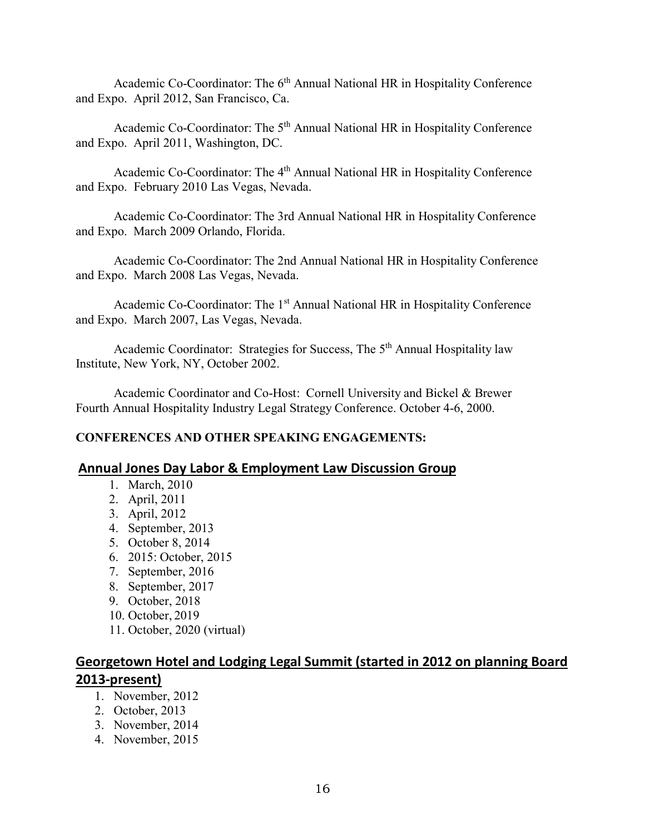Academic Co-Coordinator: The 6<sup>th</sup> Annual National HR in Hospitality Conference and Expo. April 2012, San Francisco, Ca.

Academic Co-Coordinator: The 5<sup>th</sup> Annual National HR in Hospitality Conference and Expo. April 2011, Washington, DC.

Academic Co-Coordinator: The 4<sup>th</sup> Annual National HR in Hospitality Conference and Expo. February 2010 Las Vegas, Nevada.

Academic Co-Coordinator: The 3rd Annual National HR in Hospitality Conference and Expo. March 2009 Orlando, Florida.

Academic Co-Coordinator: The 2nd Annual National HR in Hospitality Conference and Expo. March 2008 Las Vegas, Nevada.

Academic Co-Coordinator: The 1<sup>st</sup> Annual National HR in Hospitality Conference and Expo. March 2007, Las Vegas, Nevada.

Academic Coordinator: Strategies for Success, The 5<sup>th</sup> Annual Hospitality law Institute, New York, NY, October 2002.

Academic Coordinator and Co-Host: Cornell University and Bickel & Brewer Fourth Annual Hospitality Industry Legal Strategy Conference. October 4-6, 2000.

# **CONFERENCES AND OTHER SPEAKING ENGAGEMENTS:**

# **Annual Jones Day Labor & Employment Law Discussion Group**

- 1. March, 2010
- 2. April, 2011
- 3. April, 2012
- 4. September, 2013
- 5. October 8, 2014
- 6. 2015: October, 2015
- 7. September, 2016
- 8. September, 2017
- 9. October, 2018
- 10. October, 2019
- 11. October, 2020 (virtual)

# **Georgetown Hotel and Lodging Legal Summit (started in 2012 on planning Board 2013-present)**

- 1. November, 2012
- 2. October, 2013
- 3. November, 2014
- 4. November, 2015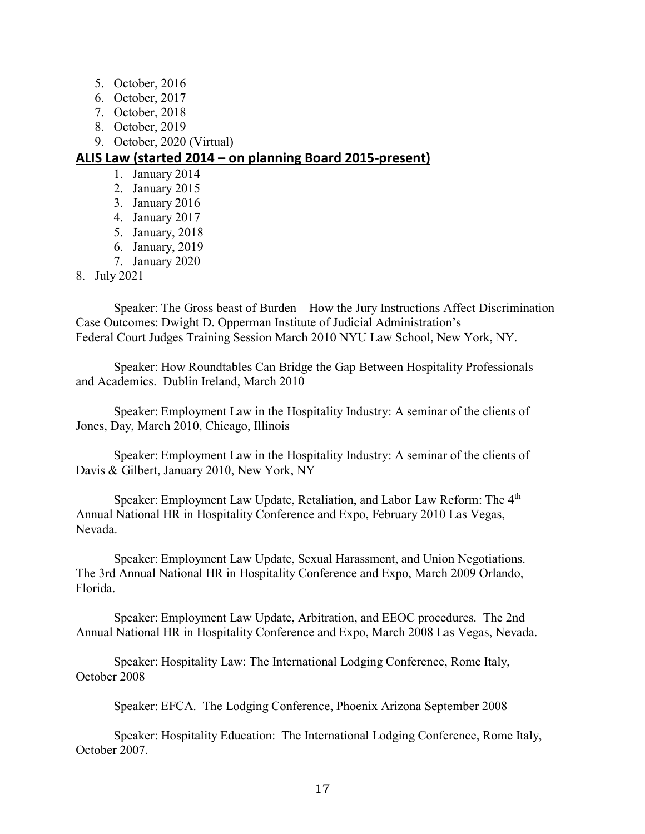- 5. October, 2016
- 6. October, 2017
- 7. October, 2018
- 8. October, 2019
- 9. October, 2020 (Virtual)

# **ALIS Law (started 2014 – on planning Board 2015-present)**

- 1. January 2014
- 2. January 2015
- 3. January 2016
- 4. January 2017
- 5. January, 2018
- 6. January, 2019
- 7. January 2020

# 8. July 2021

Speaker: The Gross beast of Burden – How the Jury Instructions Affect Discrimination Case Outcomes: Dwight D. Opperman Institute of Judicial Administration's Federal Court Judges Training Session March 2010 NYU Law School, New York, NY.

Speaker: How Roundtables Can Bridge the Gap Between Hospitality Professionals and Academics. Dublin Ireland, March 2010

Speaker: Employment Law in the Hospitality Industry: A seminar of the clients of Jones, Day, March 2010, Chicago, Illinois

Speaker: Employment Law in the Hospitality Industry: A seminar of the clients of Davis & Gilbert, January 2010, New York, NY

Speaker: Employment Law Update, Retaliation, and Labor Law Reform: The 4<sup>th</sup> Annual National HR in Hospitality Conference and Expo, February 2010 Las Vegas, Nevada.

Speaker: Employment Law Update, Sexual Harassment, and Union Negotiations. The 3rd Annual National HR in Hospitality Conference and Expo, March 2009 Orlando, Florida.

Speaker: Employment Law Update, Arbitration, and EEOC procedures. The 2nd Annual National HR in Hospitality Conference and Expo, March 2008 Las Vegas, Nevada.

Speaker: Hospitality Law: The International Lodging Conference, Rome Italy, October 2008

Speaker: EFCA. The Lodging Conference, Phoenix Arizona September 2008

Speaker: Hospitality Education: The International Lodging Conference, Rome Italy, October 2007.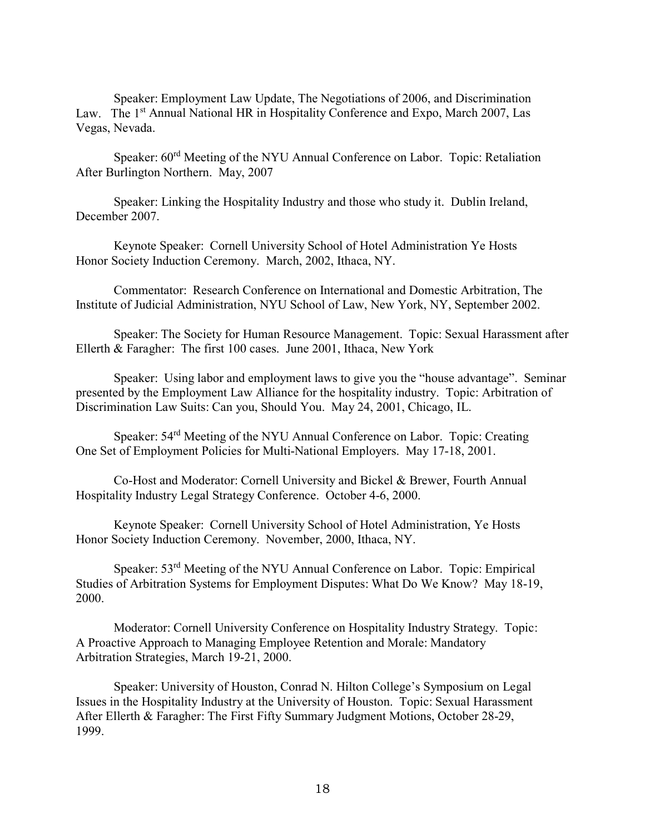Speaker: Employment Law Update, The Negotiations of 2006, and Discrimination Law. The 1<sup>st</sup> Annual National HR in Hospitality Conference and Expo, March 2007, Las Vegas, Nevada.

Speaker: 60rd Meeting of the NYU Annual Conference on Labor. Topic: Retaliation After Burlington Northern. May, 2007

Speaker: Linking the Hospitality Industry and those who study it. Dublin Ireland, December 2007.

Keynote Speaker: Cornell University School of Hotel Administration Ye Hosts Honor Society Induction Ceremony. March, 2002, Ithaca, NY.

Commentator: Research Conference on International and Domestic Arbitration, The Institute of Judicial Administration, NYU School of Law, New York, NY, September 2002.

Speaker: The Society for Human Resource Management. Topic: Sexual Harassment after Ellerth & Faragher: The first 100 cases. June 2001, Ithaca, New York

Speaker: Using labor and employment laws to give you the "house advantage". Seminar presented by the Employment Law Alliance for the hospitality industry. Topic: Arbitration of Discrimination Law Suits: Can you, Should You. May 24, 2001, Chicago, IL.

Speaker: 54rd Meeting of the NYU Annual Conference on Labor. Topic: Creating One Set of Employment Policies for Multi-National Employers. May 17-18, 2001.

Co-Host and Moderator: Cornell University and Bickel & Brewer, Fourth Annual Hospitality Industry Legal Strategy Conference. October 4-6, 2000.

Keynote Speaker: Cornell University School of Hotel Administration, Ye Hosts Honor Society Induction Ceremony. November, 2000, Ithaca, NY.

Speaker: 53rd Meeting of the NYU Annual Conference on Labor. Topic: Empirical Studies of Arbitration Systems for Employment Disputes: What Do We Know? May 18-19, 2000.

Moderator: Cornell University Conference on Hospitality Industry Strategy. Topic: A Proactive Approach to Managing Employee Retention and Morale: Mandatory Arbitration Strategies, March 19-21, 2000.

Speaker: University of Houston, Conrad N. Hilton College's Symposium on Legal Issues in the Hospitality Industry at the University of Houston. Topic: Sexual Harassment After Ellerth & Faragher: The First Fifty Summary Judgment Motions, October 28-29, 1999.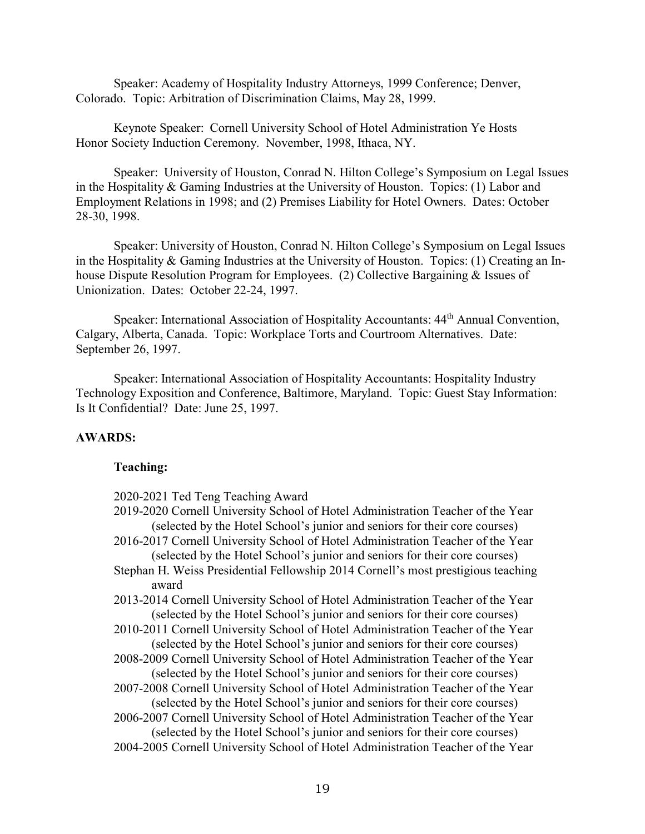Speaker: Academy of Hospitality Industry Attorneys, 1999 Conference; Denver, Colorado. Topic: Arbitration of Discrimination Claims, May 28, 1999.

Keynote Speaker: Cornell University School of Hotel Administration Ye Hosts Honor Society Induction Ceremony. November, 1998, Ithaca, NY.

Speaker: University of Houston, Conrad N. Hilton College's Symposium on Legal Issues in the Hospitality & Gaming Industries at the University of Houston. Topics: (1) Labor and Employment Relations in 1998; and (2) Premises Liability for Hotel Owners. Dates: October 28-30, 1998.

 Speaker: University of Houston, Conrad N. Hilton College's Symposium on Legal Issues in the Hospitality & Gaming Industries at the University of Houston. Topics: (1) Creating an Inhouse Dispute Resolution Program for Employees. (2) Collective Bargaining & Issues of Unionization. Dates: October 22-24, 1997.

Speaker: International Association of Hospitality Accountants: 44<sup>th</sup> Annual Convention, Calgary, Alberta, Canada. Topic: Workplace Torts and Courtroom Alternatives. Date: September 26, 1997.

Speaker: International Association of Hospitality Accountants: Hospitality Industry Technology Exposition and Conference, Baltimore, Maryland. Topic: Guest Stay Information: Is It Confidential? Date: June 25, 1997.

#### **AWARDS:**

#### **Teaching:**

| 2020-2021 Ted Teng Teaching Award |  |  |
|-----------------------------------|--|--|
|                                   |  |  |

- 2019-2020 Cornell University School of Hotel Administration Teacher of the Year (selected by the Hotel School's junior and seniors for their core courses)
- 2016-2017 Cornell University School of Hotel Administration Teacher of the Year (selected by the Hotel School's junior and seniors for their core courses)
- Stephan H. Weiss Presidential Fellowship 2014 Cornell's most prestigious teaching award
- 2013-2014 Cornell University School of Hotel Administration Teacher of the Year (selected by the Hotel School's junior and seniors for their core courses)
- 2010-2011 Cornell University School of Hotel Administration Teacher of the Year (selected by the Hotel School's junior and seniors for their core courses)
- 2008-2009 Cornell University School of Hotel Administration Teacher of the Year (selected by the Hotel School's junior and seniors for their core courses)
- 2007-2008 Cornell University School of Hotel Administration Teacher of the Year (selected by the Hotel School's junior and seniors for their core courses)
- 2006-2007 Cornell University School of Hotel Administration Teacher of the Year (selected by the Hotel School's junior and seniors for their core courses)
- 2004-2005 Cornell University School of Hotel Administration Teacher of the Year